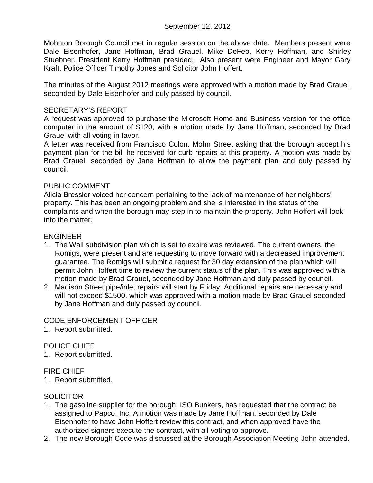Mohnton Borough Council met in regular session on the above date. Members present were Dale Eisenhofer, Jane Hoffman, Brad Grauel, Mike DeFeo, Kerry Hoffman, and Shirley Stuebner. President Kerry Hoffman presided. Also present were Engineer and Mayor Gary Kraft, Police Officer Timothy Jones and Solicitor John Hoffert.

The minutes of the August 2012 meetings were approved with a motion made by Brad Grauel, seconded by Dale Eisenhofer and duly passed by council.

### SECRETARY'S REPORT

A request was approved to purchase the Microsoft Home and Business version for the office computer in the amount of \$120, with a motion made by Jane Hoffman, seconded by Brad Grauel with all voting in favor.

A letter was received from Francisco Colon, Mohn Street asking that the borough accept his payment plan for the bill he received for curb repairs at this property. A motion was made by Brad Grauel, seconded by Jane Hoffman to allow the payment plan and duly passed by council.

### PUBLIC COMMENT

Alicia Bressler voiced her concern pertaining to the lack of maintenance of her neighbors' property. This has been an ongoing problem and she is interested in the status of the complaints and when the borough may step in to maintain the property. John Hoffert will look into the matter.

# ENGINEER

- 1. The Wall subdivision plan which is set to expire was reviewed. The current owners, the Romigs, were present and are requesting to move forward with a decreased improvement guarantee. The Romigs will submit a request for 30 day extension of the plan which will permit John Hoffert time to review the current status of the plan. This was approved with a motion made by Brad Grauel, seconded by Jane Hoffman and duly passed by council.
- 2. Madison Street pipe/inlet repairs will start by Friday. Additional repairs are necessary and will not exceed \$1500, which was approved with a motion made by Brad Grauel seconded by Jane Hoffman and duly passed by council.

# CODE ENFORCEMENT OFFICER

1. Report submitted.

# POLICE CHIEF

1. Report submitted.

### FIRE CHIEF

1. Report submitted.

# **SOLICITOR**

- 1. The gasoline supplier for the borough, ISO Bunkers, has requested that the contract be assigned to Papco, Inc. A motion was made by Jane Hoffman, seconded by Dale Eisenhofer to have John Hoffert review this contract, and when approved have the authorized signers execute the contract, with all voting to approve.
- 2. The new Borough Code was discussed at the Borough Association Meeting John attended.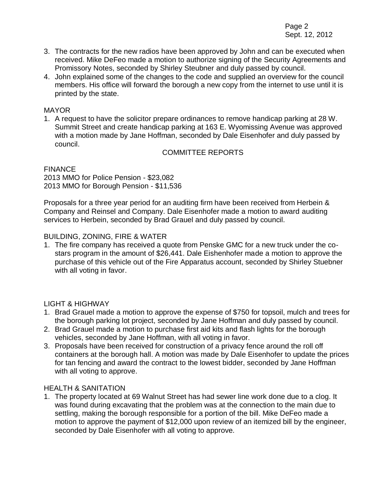Page 2 Sept. 12, 2012

- 3. The contracts for the new radios have been approved by John and can be executed when received. Mike DeFeo made a motion to authorize signing of the Security Agreements and Promissory Notes, seconded by Shirley Steubner and duly passed by council.
- 4. John explained some of the changes to the code and supplied an overview for the council members. His office will forward the borough a new copy from the internet to use until it is printed by the state.

#### MAYOR

1. A request to have the solicitor prepare ordinances to remove handicap parking at 28 W. Summit Street and create handicap parking at 163 E. Wyomissing Avenue was approved with a motion made by Jane Hoffman, seconded by Dale Eisenhofer and duly passed by council.

### COMMITTEE REPORTS

#### **FINANCE** 2013 MMO for Police Pension - \$23,082 2013 MMO for Borough Pension - \$11,536

Proposals for a three year period for an auditing firm have been received from Herbein & Company and Reinsel and Company. Dale Eisenhofer made a motion to award auditing services to Herbein, seconded by Brad Grauel and duly passed by council.

#### BUILDING, ZONING, FIRE & WATER

1. The fire company has received a quote from Penske GMC for a new truck under the costars program in the amount of \$26,441. Dale Eishenhofer made a motion to approve the purchase of this vehicle out of the Fire Apparatus account, seconded by Shirley Stuebner with all voting in favor.

### LIGHT & HIGHWAY

- 1. Brad Grauel made a motion to approve the expense of \$750 for topsoil, mulch and trees for the borough parking lot project, seconded by Jane Hoffman and duly passed by council.
- 2. Brad Grauel made a motion to purchase first aid kits and flash lights for the borough vehicles, seconded by Jane Hoffman, with all voting in favor.
- 3. Proposals have been received for construction of a privacy fence around the roll off containers at the borough hall. A motion was made by Dale Eisenhofer to update the prices for tan fencing and award the contract to the lowest bidder, seconded by Jane Hoffman with all voting to approve.

#### HEALTH & SANITATION

1. The property located at 69 Walnut Street has had sewer line work done due to a clog. It was found during excavating that the problem was at the connection to the main due to settling, making the borough responsible for a portion of the bill. Mike DeFeo made a motion to approve the payment of \$12,000 upon review of an itemized bill by the engineer, seconded by Dale Eisenhofer with all voting to approve.